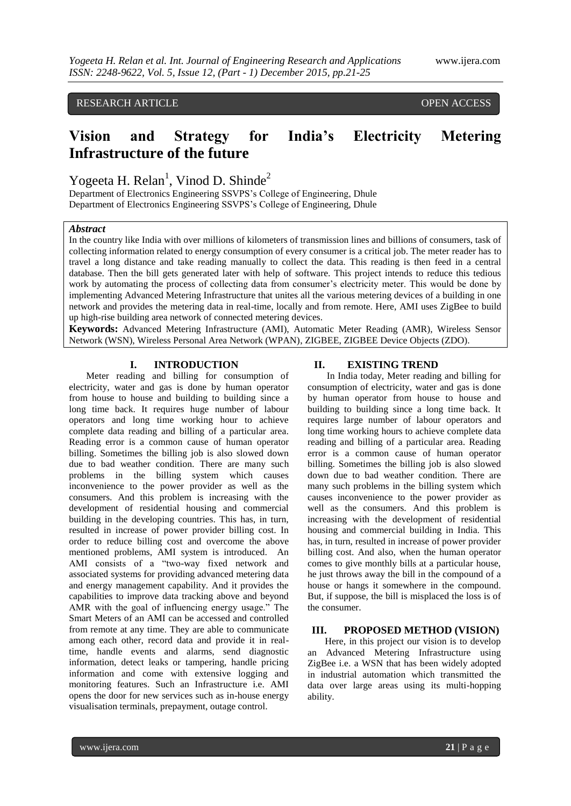# RESEARCH ARTICLE **CONSERVERS** OPEN ACCESS

# **Vision and Strategy for India's Electricity Metering Infrastructure of the future**

Yogeeta H. Relan<sup>1</sup>, Vinod D. Shinde<sup>2</sup>

Department of Electronics Engineering SSVPS's College of Engineering, Dhule Department of Electronics Engineering SSVPS's College of Engineering, Dhule

#### *Abstract*

In the country like India with over millions of kilometers of transmission lines and billions of consumers, task of collecting information related to energy consumption of every consumer is a critical job. The meter reader has to travel a long distance and take reading manually to collect the data. This reading is then feed in a central database. Then the bill gets generated later with help of software. This project intends to reduce this tedious work by automating the process of collecting data from consumer's electricity meter. This would be done by implementing Advanced Metering Infrastructure that unites all the various metering devices of a building in one network and provides the metering data in real-time, locally and from remote. Here, AMI uses ZigBee to build up high-rise building area network of connected metering devices.

**Keywords:** Advanced Metering Infrastructure (AMI), Automatic Meter Reading (AMR), Wireless Sensor Network (WSN), Wireless Personal Area Network (WPAN), ZIGBEE, ZIGBEE Device Objects (ZDO).

#### **I. INTRODUCTION**

Meter reading and billing for consumption of electricity, water and gas is done by human operator from house to house and building to building since a long time back. It requires huge number of labour operators and long time working hour to achieve complete data reading and billing of a particular area. Reading error is a common cause of human operator billing. Sometimes the billing job is also slowed down due to bad weather condition. There are many such problems in the billing system which causes inconvenience to the power provider as well as the consumers. And this problem is increasing with the development of residential housing and commercial building in the developing countries. This has, in turn, resulted in increase of power provider billing cost. In order to reduce billing cost and overcome the above mentioned problems, AMI system is introduced. An AMI consists of a "two-way fixed network and associated systems for providing advanced metering data and energy management capability. And it provides the capabilities to improve data tracking above and beyond AMR with the goal of influencing energy usage." The Smart Meters of an AMI can be accessed and controlled from remote at any time. They are able to communicate among each other, record data and provide it in realtime, handle events and alarms, send diagnostic information, detect leaks or tampering, handle pricing information and come with extensive logging and monitoring features. Such an Infrastructure i.e. AMI opens the door for new services such as in-house energy visualisation terminals, prepayment, outage control.

#### **II. EXISTING TREND**

 In India today, Meter reading and billing for consumption of electricity, water and gas is done by human operator from house to house and building to building since a long time back. It requires large number of labour operators and long time working hours to achieve complete data reading and billing of a particular area. Reading error is a common cause of human operator billing. Sometimes the billing job is also slowed down due to bad weather condition. There are many such problems in the billing system which causes inconvenience to the power provider as well as the consumers. And this problem is increasing with the development of residential housing and commercial building in India. This has, in turn, resulted in increase of power provider billing cost. And also, when the human operator comes to give monthly bills at a particular house, he just throws away the bill in the compound of a house or hangs it somewhere in the compound. But, if suppose, the bill is misplaced the loss is of the consumer.

#### **III. PROPOSED METHOD (VISION)**

Here, in this project our vision is to develop an Advanced Metering Infrastructure using ZigBee i.e. a WSN that has been widely adopted in industrial automation which transmitted the data over large areas using its multi-hopping ability.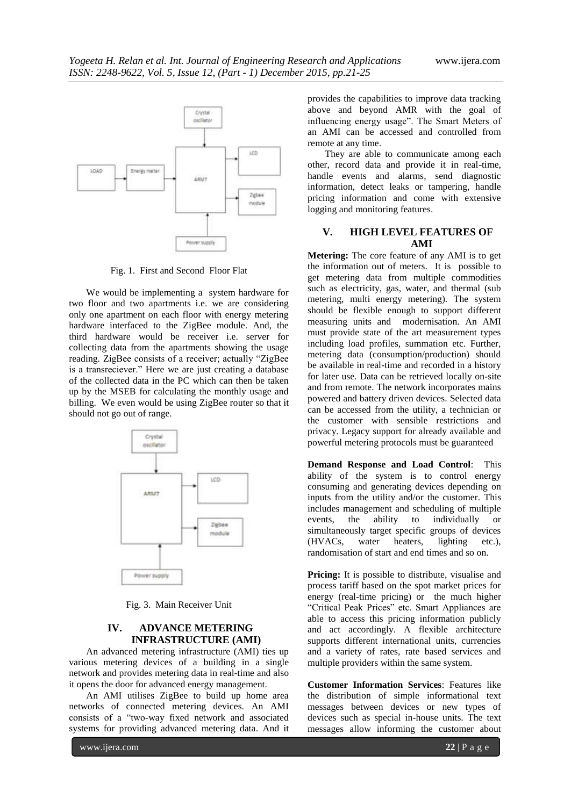

Fig. 1. First and Second Floor Flat

We would be implementing a system hardware for two floor and two apartments i.e. we are considering only one apartment on each floor with energy metering hardware interfaced to the ZigBee module. And, the third hardware would be receiver i.e. server for collecting data from the apartments showing the usage reading. ZigBee consists of a receiver; actually "ZigBee is a transreciever." Here we are just creating a database of the collected data in the PC which can then be taken up by the MSEB for calculating the monthly usage and billing. We even would be using ZigBee router so that it should not go out of range.



Fig. 3. Main Receiver Unit

## **IV. ADVANCE METERING INFRASTRUCTURE (AMI)**

An advanced metering infrastructure (AMI) ties up various metering devices of a building in a single network and provides metering data in real-time and also it opens the door for advanced energy management.

An AMI utilises ZigBee to build up home area networks of connected metering devices. An AMI consists of a "two-way fixed network and associated systems for providing advanced metering data. And it

provides the capabilities to improve data tracking above and beyond AMR with the goal of influencing energy usage". The Smart Meters of an AMI can be accessed and controlled from remote at any time.

They are able to communicate among each other, record data and provide it in real-time, handle events and alarms, send diagnostic information, detect leaks or tampering, handle pricing information and come with extensive logging and monitoring features.

#### **V. HIGH LEVEL FEATURES OF AMI**

**Metering:** The core feature of any AMI is to get the information out of meters. It is possible to get metering data from multiple commodities such as electricity, gas, water, and thermal (sub metering, multi energy metering). The system should be flexible enough to support different measuring units and modernisation. An AMI must provide state of the art measurement types including load profiles, summation etc. Further, metering data (consumption/production) should be available in real-time and recorded in a history for later use. Data can be retrieved locally on-site and from remote. The network incorporates mains powered and battery driven devices. Selected data can be accessed from the utility, a technician or the customer with sensible restrictions and privacy. Legacy support for already available and powerful metering protocols must be guaranteed

**Demand Response and Load Control**: This ability of the system is to control energy consuming and generating devices depending on inputs from the utility and/or the customer. This includes management and scheduling of multiple events, the ability to individually or simultaneously target specific groups of devices (HVACs, water heaters, lighting etc.), randomisation of start and end times and so on.

**Pricing:** It is possible to distribute, visualise and process tariff based on the spot market prices for energy (real-time pricing) or the much higher "Critical Peak Prices" etc. Smart Appliances are able to access this pricing information publicly and act accordingly. A flexible architecture supports different international units, currencies and a variety of rates, rate based services and multiple providers within the same system.

**Customer Information Services**: Features like the distribution of simple informational text messages between devices or new types of devices such as special in-house units. The text messages allow informing the customer about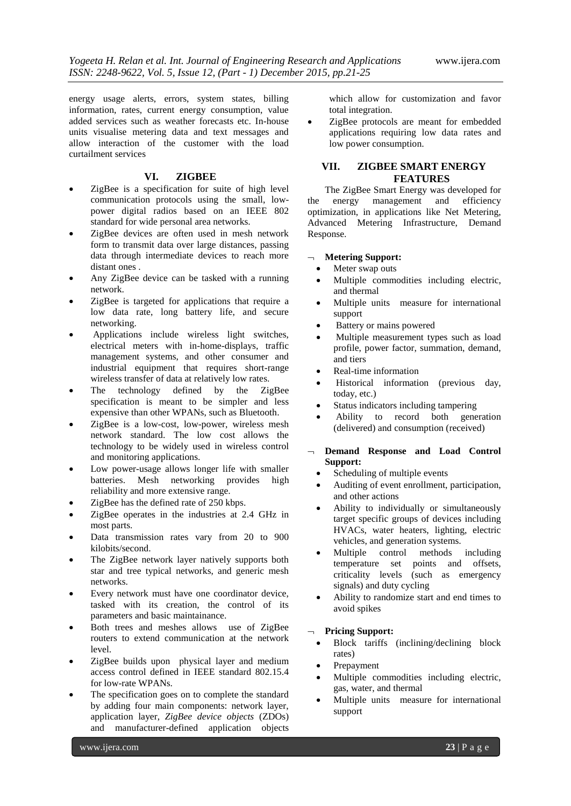energy usage alerts, errors, system states, billing information, rates, current energy consumption, value added services such as weather forecasts etc. In-house units visualise metering data and text messages and allow interaction of the customer with the load curtailment services

### **VI. ZIGBEE**

- ZigBee is a specification for suite of high level communication protocols using the small, lowpower digital radios based on an IEEE 802 standard for wide personal area networks.
- ZigBee devices are often used in mesh network form to transmit data over large distances, passing data through intermediate devices to reach more distant ones .
- Any ZigBee device can be tasked with a running network.
- ZigBee is targeted for applications that require a low data rate, long battery life, and secure networking.
- Applications include wireless light switches, electrical meters with in-home-displays, traffic management systems, and other consumer and industrial equipment that requires short-range wireless transfer of data at relatively low rates.
- The technology defined by the ZigBee specification is meant to be simpler and less expensive than other WPANs, such as Bluetooth.
- ZigBee is a low-cost, low-power, wireless mesh network standard. The low cost allows the technology to be widely used in wireless control and monitoring applications.
- Low power-usage allows longer life with smaller batteries. Mesh networking provides high reliability and more extensive range.
- ZigBee has the defined rate of 250 kbps.
- ZigBee operates in the industries at 2.4 GHz in most parts.
- Data transmission rates vary from 20 to 900 kilobits/second.
- The ZigBee network layer natively supports both star and tree typical networks, and generic mesh networks.
- Every network must have one coordinator device, tasked with its creation, the control of its parameters and basic maintainance.
- Both trees and meshes allows use of ZigBee routers to extend communication at the network level.
- ZigBee builds upon physical layer and medium access control defined in IEEE standard 802.15.4 for low-rate WPANs.
- The specification goes on to complete the standard by adding four main components: network layer, application layer, *ZigBee device objects* (ZDOs) and manufacturer-defined application objects

which allow for customization and favor total integration.

 ZigBee protocols are meant for embedded applications requiring low data rates and low power consumption.

# **VII. ZIGBEE SMART ENERGY FEATURES**

The ZigBee Smart Energy was developed for the energy management and efficiency optimization, in applications like Net Metering, Advanced Metering Infrastructure, Demand Response.

# **Metering Support:**

- Meter swap outs
- Multiple commodities including electric, and thermal
- Multiple units measure for international support
- Battery or mains powered
- Multiple measurement types such as load profile, power factor, summation, demand, and tiers
- Real-time information
- Historical information (previous day, today, etc.)
- Status indicators including tampering
- Ability to record both generation (delivered) and consumption (received)
- **Demand Response and Load Control Support:**
	- Scheduling of multiple events
	- Auditing of event enrollment, participation, and other actions
	- Ability to individually or simultaneously target specific groups of devices including HVACs, water heaters, lighting, electric vehicles, and generation systems.
	- Multiple control methods including temperature set points and offsets, criticality levels (such as emergency signals) and duty cycling
	- Ability to randomize start and end times to avoid spikes

#### **Pricing Support:**

- Block tariffs (inclining/declining block rates)
- Prepayment
- Multiple commodities including electric, gas, water, and thermal
- Multiple units measure for international support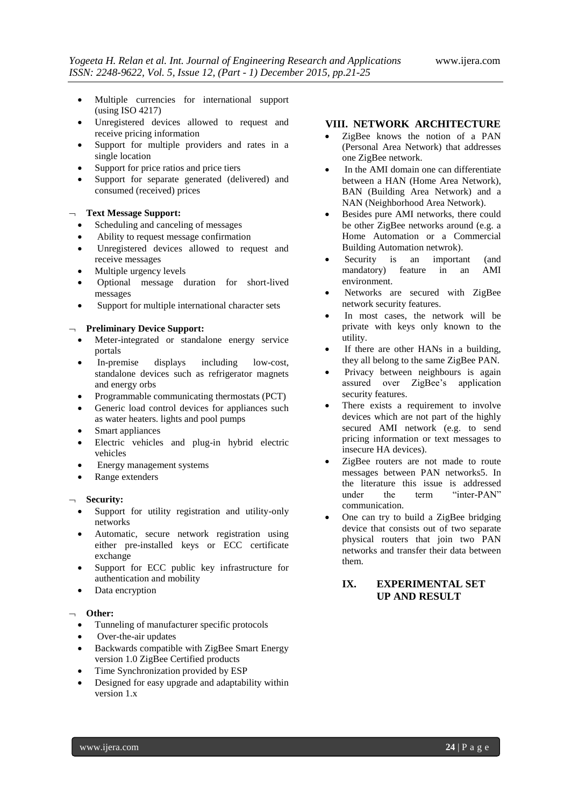- Multiple currencies for international support (using ISO 4217)
- Unregistered devices allowed to request and receive pricing information
- Support for multiple providers and rates in a single location
- Support for price ratios and price tiers
- Support for separate generated (delivered) and consumed (received) prices

### **Text Message Support:**

- Scheduling and canceling of messages
- Ability to request message confirmation
- Unregistered devices allowed to request and receive messages
- Multiple urgency levels
- Optional message duration for short-lived messages
- Support for multiple international character sets

#### **Preliminary Device Support:**

- Meter-integrated or standalone energy service portals
- In-premise displays including low-cost, standalone devices such as refrigerator magnets and energy orbs
- Programmable communicating thermostats (PCT)
- Generic load control devices for appliances such as water heaters. lights and pool pumps
- Smart appliances
- Electric vehicles and plug-in hybrid electric vehicles
- Energy management systems
- Range extenders

# **Security:**

- Support for utility registration and utility-only networks
- Automatic, secure network registration using either pre-installed keys or ECC certificate exchange
- Support for ECC public key infrastructure for authentication and mobility
- Data encryption

## **Other:**

- Tunneling of manufacturer specific protocols
- Over-the-air updates
- Backwards compatible with ZigBee Smart Energy version 1.0 ZigBee Certified products
- Time Synchronization provided by ESP
- Designed for easy upgrade and adaptability within version 1.x

# **VIII. NETWORK ARCHITECTURE**

- ZigBee knows the notion of a PAN (Personal Area Network) that addresses one ZigBee network.
- In the AMI domain one can differentiate between a HAN (Home Area Network), BAN (Building Area Network) and a NAN (Neighborhood Area Network).
- Besides pure AMI networks, there could be other ZigBee networks around (e.g. a Home Automation or a Commercial Building Automation netwrok).
- Security is an important (and mandatory) feature in an AMI environment.
- Networks are secured with ZigBee network security features.
- In most cases, the network will be private with keys only known to the utility.
- If there are other HANs in a building, they all belong to the same ZigBee PAN.
- Privacy between neighbours is again assured over ZigBee's application security features.
- There exists a requirement to involve devices which are not part of the highly secured AMI network (e.g. to send pricing information or text messages to insecure HA devices).
- ZigBee routers are not made to route messages between PAN networks5. In the literature this issue is addressed under the term "inter-PAN" communication.
- One can try to build a ZigBee bridging device that consists out of two separate physical routers that join two PAN networks and transfer their data between them.

# **IX. EXPERIMENTAL SET UP AND RESULT**